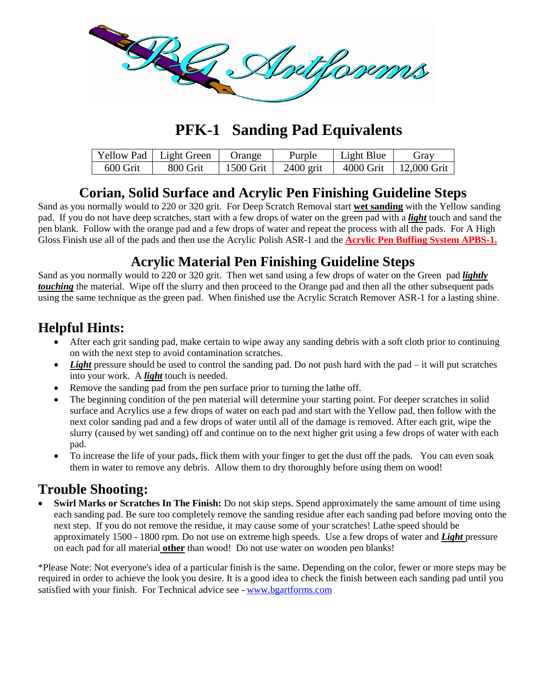

## **PFK-1 Sanding Pad Equivalents**

|          | Yellow Pad   Light Green | Orange    | Purple      | Light Blue | Gray          |
|----------|--------------------------|-----------|-------------|------------|---------------|
| 600 Grit | 800 Grit                 | 1500 Grit | $2400$ grit | 4000 Grit  | $12,000$ Grit |

#### **Corian, Solid Surface and Acrylic Pen Finishing Guideline Steps**

Sand as you normally would to 220 or 320 grit. For Deep Scratch Removal start **wet sanding** with the Yellow sanding pad. If you do not have deep scratches, start with a few drops of water on the green pad with a *light* touch and sand the pen blank. Follow with the orange pad and a few drops of water and repeat the process with all the pads. For A High Gloss Finish use all of the pads and then use the Acrylic Polish ASR-1 and the **Acrylic Pen Buffing System APBS-1.**

### **Acrylic Material Pen Finishing Guideline Steps**

Sand as you normally would to 220 or 320 grit. Then wet sand using a few drops of water on the Green pad *lightly touching* the material. Wipe off the slurry and then proceed to the Orange pad and then all the other subsequent pads using the same technique as the green pad. When finished use the Acrylic Scratch Remover ASR-1 for a lasting shine.

#### **Helpful Hints:**

- After each grit sanding pad, make certain to wipe away any sanding debris with a soft cloth prior to continuing on with the next step to avoid contamination scratches.
- *Light* pressure should be used to control the sanding pad. Do not push hard with the pad it will put scratches into your work. A *light* touch is needed.
- Remove the sanding pad from the pen surface prior to turning the lathe off.
- The beginning condition of the pen material will determine your starting point. For deeper scratches in solid surface and Acrylics use a few drops of water on each pad and start with the Yellow pad, then follow with the next color sanding pad and a few drops of water until all of the damage is removed. After each grit, wipe the slurry (caused by wet sanding) off and continue on to the next higher grit using a few drops of water with each pad.
- To increase the life of your pads, flick them with your finger to get the dust off the pads. You can even soak them in water to remove any debris. Allow them to dry thoroughly before using them on wood!

#### **Trouble Shooting:**

 **Swirl Marks or Scratches In The Finish:** Do not skip steps. Spend approximately the same amount of time using each sanding pad. Be sure too completely remove the sanding residue after each sanding pad before moving onto the next step. If you do not remove the residue, it may cause some of your scratches! Lathe speed should be approximately 1500 - 1800 rpm. Do not use on extreme high speeds. Use a few drops of water and *Light* pressure on each pad for all material **other** than wood! Do not use water on wooden pen blanks!

\*Please Note: Not everyone's idea of a particular finish is the same. Depending on the color, fewer or more steps may be required in order to achieve the look you desire. It is a good idea to check the finish between each sanding pad until you satisfied with your finish. For Technical advice see - [www.bgartforms.com](http://www.bgartforms.com/)